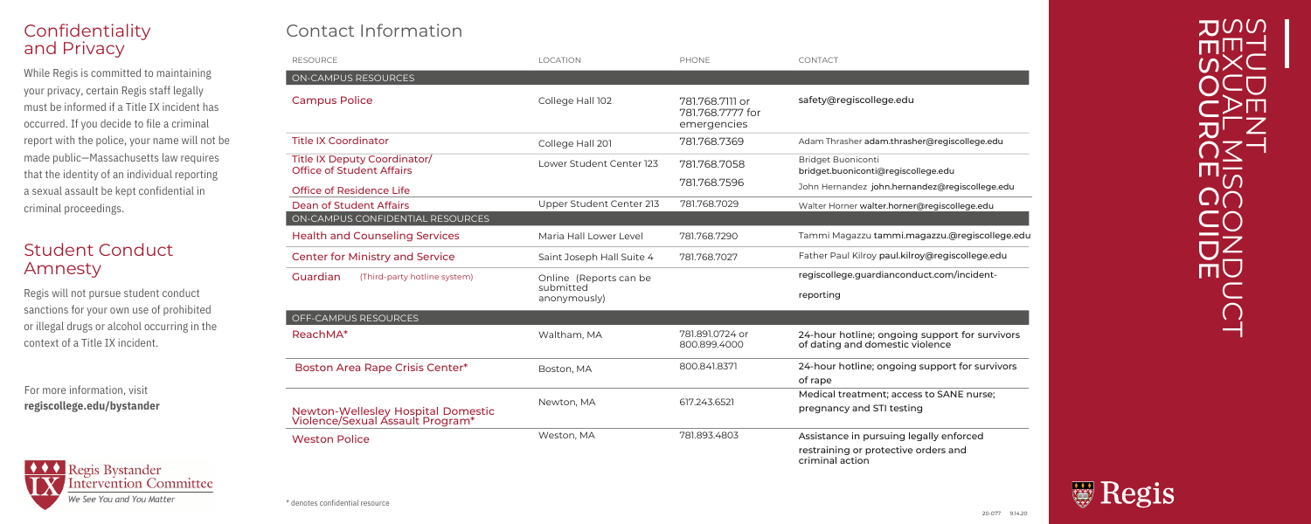# Confidentiality a n d P riv a c y

While Regis is committed to ma<br>your privacy, certain Regis staf<br>must be informed if a Title IX ir<br>occurred. If you decide to file a<br>report with the police, your nar<br>made public—Massachusetts la<br>that the identity of an indi ain t ainin g your privacy, certain Regis staff legally must be informed if a Title IX incident has occurred. If you decide to file a criminal report with the police, your name will not be made public—Massachusetts law requires that the identity of an individual reporting a sexual assault be kept confidential in criminal proceedings Provided to maintaining<br>
in Regis staff legally<br>
a Title IX incident has<br>
ide to file a criminal<br>
re, your name will not be<br>
achusetts law requires<br>
in individual reporting<br>
kept confidential in<br>
s.

# Student Conduct **Amnesty**

Regis will not pursue student conduct sanctions for your own use of prohibited or illegal drugs or alcohol occurring in the context of a Title IX incident

For more information, visit regiscollege.edu/bystander



# Contact Information

| Contact Information                                                    |                           |                                                    |                                                                                   |
|------------------------------------------------------------------------|---------------------------|----------------------------------------------------|-----------------------------------------------------------------------------------|
| <b>RESOURCE</b>                                                        | <b>LOCATION</b>           | PHONE                                              | CONTACT                                                                           |
| <b>ON-CAMPUS RESOURCES</b>                                             |                           |                                                    |                                                                                   |
| <b>Campus Police</b>                                                   | College Hall 102          | 781.768.7111 or<br>781.768.7777 for<br>emergencies | safety@regiscollege.edu                                                           |
| <b>Title IX Coordinator</b>                                            | College Hall 201          | 781.768.7369                                       | Adam Thrasher adam.thrasher@regiscollege.edu                                      |
| Title IX Deputy Coordinator/<br><b>Office of Student Affairs</b>       | Lower Student Center 123  | 781.768.7058                                       | <b>Bridget Buoniconti</b><br>bridget.buoniconti@regiscollege.edu                  |
| Office of Residence Life                                               |                           | 781.768.7596                                       | John Hernandez john.hernandez@regiscollege.edu                                    |
| Dean of Student Affairs                                                | Upper Student Center 213  | 781.768.7029                                       | Walter Horner walter.horner@regiscollege.edu                                      |
| ON-CAMPUS CONFIDENTIAL RESOURCES                                       |                           |                                                    |                                                                                   |
| <b>Health and Counseling Services</b>                                  | Maria Hall Lower Level    | 781.768.7290                                       | Tammi Magazzu tammi.magazzu.@regiscollege.edu                                     |
| <b>Center for Ministry and Service</b>                                 | Saint Joseph Hall Suite 4 | 781.768.7027                                       | Father Paul Kilroy paul.kilroy@regiscollege.edu                                   |
| Guardian<br>(Third-party hotline system)                               | Online (Reports can be    |                                                    | regiscollege.guardianconduct.com/incident-                                        |
|                                                                        | submitted<br>anonymously) |                                                    | reporting                                                                         |
| OFF-CAMPUS RESOURCES                                                   |                           |                                                    |                                                                                   |
| ReachMA*                                                               | Waltham, MA               | 781.891.0724 or<br>800.899.4000                    | 24-hour hotline; ongoing support for survivors<br>of dating and domestic violence |
| Boston Area Rape Crisis Center*                                        | Boston, MA                | 800.841.8371                                       | 24-hour hotline; ongoing support for survivors                                    |
|                                                                        |                           |                                                    | of rape                                                                           |
| Newton-Wellesley Hospital Domestic<br>Violence/Sexual Assault Program* | Newton, MA                | 617.243.6521                                       | Medical treatment; access to SANE nurse;                                          |
|                                                                        |                           |                                                    | pregnancy and STI testing                                                         |
| <b>Weston Police</b>                                                   | Weston, MA                | 781.893.4803                                       | Assistance in pursuing legally enforced                                           |
|                                                                        |                           |                                                    | restraining or protective orders and<br>criminal action                           |